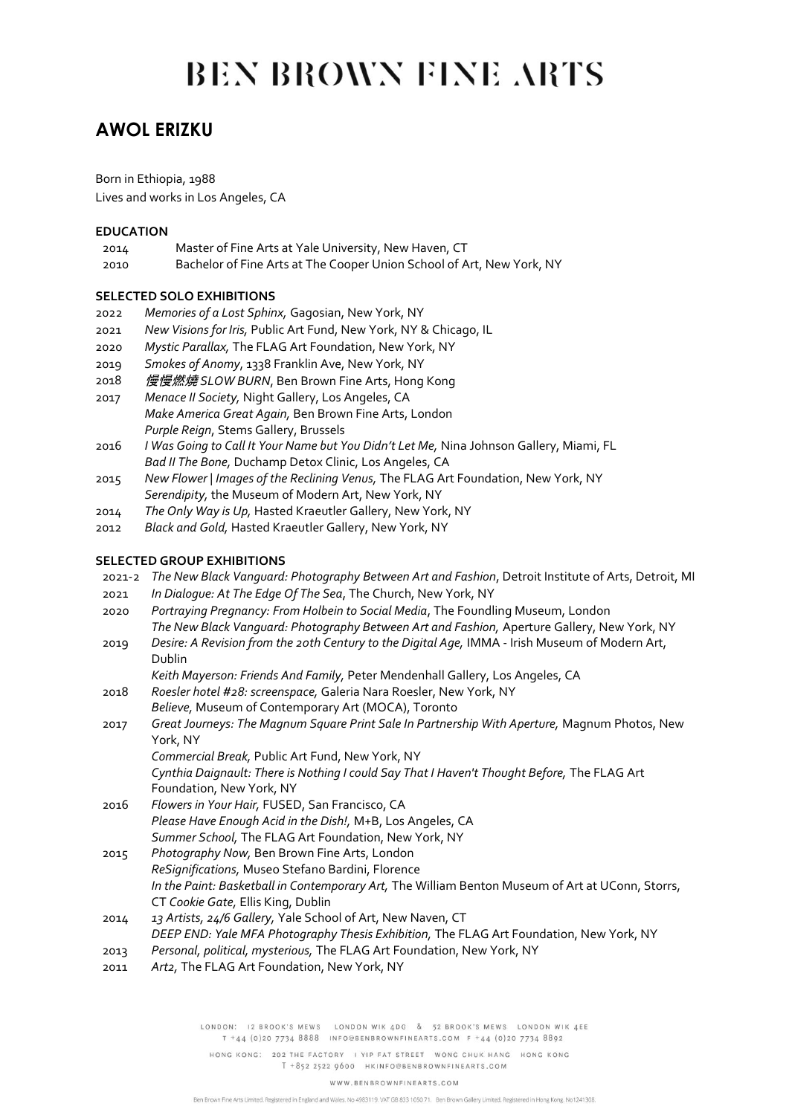# **BEN BROWN FINE ARTS**

## **AWOL ERIZKU**

Born in Ethiopia, 1988

Lives and works in Los Angeles, CA

#### **EDUCATION**

- 2014 Master of Fine Arts at Yale University, New Haven, CT
- 2010 Bachelor of Fine Arts at The Cooper Union School of Art, New York, NY

### **SELECTED SOLO EXHIBITIONS**

- 2022 *Memories of a Lost Sphinx,* Gagosian, New York, NY
- 2021 *New Visions for Iris,* Public Art Fund, New York, NY & Chicago, IL
- 2020 *Mystic Parallax,* The FLAG Art Foundation, New York, NY
- 2019 *Smokes of Anomy*, 1338 Franklin Ave, New York, NY
- 2018 慢慢燃燒 *SLOW BURN*, Ben Brown Fine Arts, Hong Kong
- 2017 *Menace II Society,* Night Gallery, Los Angeles, CA *Make America Great Again,* Ben Brown Fine Arts, London *Purple Reign*, Stems Gallery, Brussels
- 2016 *I Was Going to Call It Your Name but You Didn't Let Me,* Nina Johnson Gallery, Miami, FL *Bad II The Bone,* Duchamp Detox Clinic, Los Angeles, CA
- 2015 *New Flower | Images of the Reclining Venus,* The FLAG Art Foundation, New York, NY *Serendipity,* the Museum of Modern Art, New York, NY
- 2014 *The Only Way is Up,* Hasted Kraeutler Gallery, New York, NY
- 2012 *Black and Gold,* Hasted Kraeutler Gallery, New York, NY

#### **SELECTED GROUP EXHIBITIONS**

- 2021-2 *The New Black Vanguard: Photography Between Art and Fashion*, Detroit Institute of Arts, Detroit, MI
- 2021 *In Dialogue: At The Edge Of The Sea*, The Church, New York, NY
- 2020 *Portraying Pregnancy: From Holbein to Social Media*, The Foundling Museum, London *The New Black Vanguard: Photography Between Art and Fashion,* Aperture Gallery, New York, NY
- 2019 *Desire: A Revision from the 20th Century to the Digital Age,* IMMA Irish Museum of Modern Art, Dublin
	- *Keith Mayerson: Friends And Family,* Peter Mendenhall Gallery, Los Angeles, CA
- 2018 *Roesler hotel #28: screenspace,* Galeria Nara Roesler, New York, NY *Believe,* Museum of Contemporary Art (MOCA), Toronto
- 2017 *Great Journeys: The Magnum Square Print Sale In Partnership With Aperture,* Magnum Photos, New York, NY

*Commercial Break,* Public Art Fund, New York, NY *Cynthia Daignault: There is Nothing I could Say That I Haven't Thought Before,* The FLAG Art Foundation, New York, NY

- 2016 *Flowers in Your Hair,* FUSED, San Francisco, CA *Please Have Enough Acid in the Dish!,* M+B, Los Angeles, CA *Summer School,* The FLAG Art Foundation, New York, NY
- 2015 *Photography Now,* Ben Brown Fine Arts, London *ReSignifications,* Museo Stefano Bardini, Florence *In the Paint: Basketball in Contemporary Art,* The William Benton Museum of Art at UConn, Storrs, CT *Cookie Gate,* Ellis King, Dublin
- 2014 *13 Artists, 24/6 Gallery,* Yale School of Art, New Naven, CT *DEEP END: Yale MFA Photography Thesis Exhibition,* The FLAG Art Foundation, New York, NY 2013 *Personal, political, mysterious,* The FLAG Art Foundation, New York, NY
- 
- 2011 *Art2,* The FLAG Art Foundation, New York, NY

LONDON: 12 BROOK'S MEWS LONDON WIK 4DG & 52 BROOK'S MEWS LONDON WIK 4EE T +44 (0)20 7734 8888 INFO@BENBROWNFINEARTS.COM F +44 (0)20 7734 8892

HONG KONG: 202 THE FACTORY I YIP FAT STREET WONG CHUK HANG HONG KONG T +852 2522 9600 HKINFO@BENBROWNFINEARTS.COM

WWW.BENBROWNFINEARTS.COM